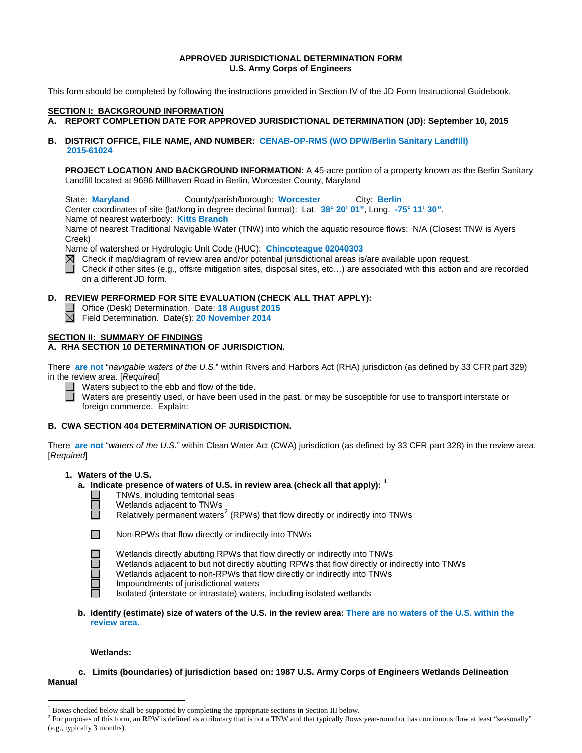#### **APPROVED JURISDICTIONAL DETERMINATION FORM U.S. Army Corps of Engineers**

This form should be completed by following the instructions provided in Section IV of the JD Form Instructional Guidebook.

#### **SECTION I: BACKGROUND INFORMATION**

#### **A. REPORT COMPLETION DATE FOR APPROVED JURISDICTIONAL DETERMINATION (JD): September 10, 2015**

**B. DISTRICT OFFICE, FILE NAME, AND NUMBER: CENAB-OP-RMS (WO DPW/Berlin Sanitary Landfill) 2015-61024**

**PROJECT LOCATION AND BACKGROUND INFORMATION:** A 45-acre portion of a property known as the Berlin Sanitary Landfill located at 9696 Millhaven Road in Berlin, Worcester County, Maryland

State: **Maryland** County/parish/borough: **Worcester** City: **Berlin**

Center coordinates of site (lat/long in degree decimal format): Lat. **38° 20' 01"**, Long. **-75° 11' 30"**.

Name of nearest waterbody: **Kitts Branch**

Name of nearest Traditional Navigable Water (TNW) into which the aquatic resource flows: N/A (Closest TNW is Ayers Creek)

Name of watershed or Hydrologic Unit Code (HUC): **Chincoteague 02040303**

 $\boxtimes$  Check if map/diagram of review area and/or potential jurisdictional areas is/are available upon request.

Check if other sites (e.g., offsite mitigation sites, disposal sites, etc…) are associated with this action and are recorded on a different JD form.

### **D. REVIEW PERFORMED FOR SITE EVALUATION (CHECK ALL THAT APPLY):**

- Office (Desk) Determination. Date: **18 August 2015**
- Field Determination. Date(s): **20 November 2014**

#### **SECTION II: SUMMARY OF FINDINGS**

#### **A. RHA SECTION 10 DETERMINATION OF JURISDICTION.**

There **are not** "*navigable waters of the U.S.*" within Rivers and Harbors Act (RHA) jurisdiction (as defined by 33 CFR part 329) in the review area. [*Required*]

Waters subject to the ebb and flow of the tide.

Waters are presently used, or have been used in the past, or may be susceptible for use to transport interstate or foreign commerce. Explain:

#### **B. CWA SECTION 404 DETERMINATION OF JURISDICTION.**

There **are not** "*waters of the U.S.*" within Clean Water Act (CWA) jurisdiction (as defined by 33 CFR part 328) in the review area. [*Required*]

#### **1. Waters of the U.S.**

#### **a. Indicate presence of waters of U.S. in review area (check all that apply): [1](#page-0-0)**

- TNWs, including territorial seas
- $\Box$ Wetlands adjacent to TNWs
	- Relatively permanent waters<sup>[2](#page-0-1)</sup> (RPWs) that flow directly or indirectly into TNWs



П

Non-RPWs that flow directly or indirectly into TNWs

- Wetlands directly abutting RPWs that flow directly or indirectly into TNWs
- Wetlands adjacent to but not directly abutting RPWs that flow directly or indirectly into TNWs
- Wetlands adjacent to non-RPWs that flow directly or indirectly into TNWs
- Impoundments of jurisdictional waters
- Isolated (interstate or intrastate) waters, including isolated wetlands
- **b. Identify (estimate) size of waters of the U.S. in the review area: There are no waters of the U.S. within the review area.**

#### **Wetlands:**

#### **c. Limits (boundaries) of jurisdiction based on: 1987 U.S. Army Corps of Engineers Wetlands Delineation Manual**

<sup>&</sup>lt;sup>1</sup> Boxes checked below shall be supported by completing the appropriate sections in Section III below.

<span id="page-0-1"></span><span id="page-0-0"></span> $^2$  For purposes of this form, an RPW is defined as a tributary that is not a TNW and that typically flows year-round or has continuous flow at least "seasonally" (e.g., typically 3 months).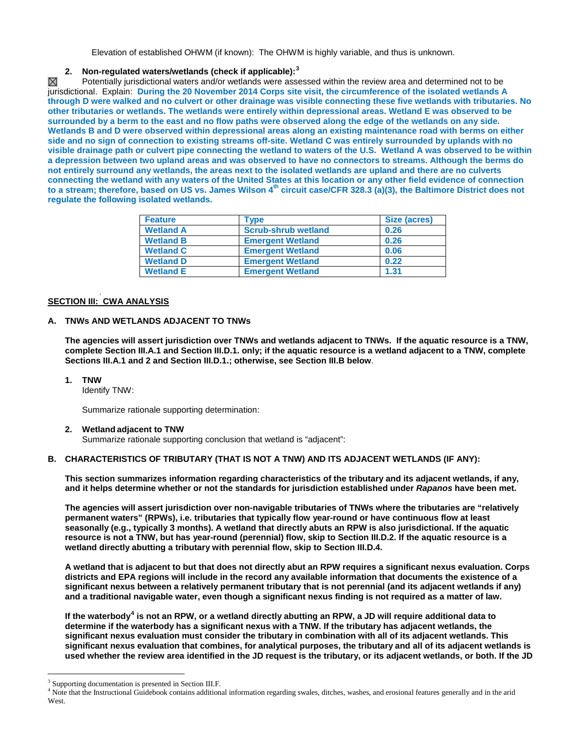Elevation of established OHWM (if known): The OHWM is highly variable, and thus is unknown.

## **2. Non-regulated waters/wetlands (check if applicable): [3](#page-1-0)**

Potentially jurisdictional waters and/or wetlands were assessed within the review area and determined not to be ⊠ jurisdictional. Explain: **During the 20 November 2014 Corps site visit, the circumference of the isolated wetlands A through D were walked and no culvert or other drainage was visible connecting these five wetlands with tributaries. No other tributaries or wetlands. The wetlands were entirely within depressional areas. Wetland E was observed to be surrounded by a berm to the east and no flow paths were observed along the edge of the wetlands on any side. Wetlands B and D were observed within depressional areas along an existing maintenance road with berms on either side and no sign of connection to existing streams off-site. Wetland C was entirely surrounded by uplands with no visible drainage path or culvert pipe connecting the wetland to waters of the U.S. Wetland A was observed to be within a depression between two upland areas and was observed to have no connectors to streams. Although the berms do not entirely surround any wetlands, the areas next to the isolated wetlands are upland and there are no culverts connecting the wetland with any waters of the United States at this location or any other field evidence of connection to a stream; therefore, based on US vs. James Wilson 4th circuit case/CFR 328.3 (a)(3), the Baltimore District does not regulate the following isolated wetlands.** 

| <b>Feature</b>   | Type                       | Size (acres) |
|------------------|----------------------------|--------------|
| <b>Wetland A</b> | <b>Scrub-shrub wetland</b> | 0.26         |
| <b>Wetland B</b> | <b>Emergent Wetland</b>    | 0.26         |
| <b>Wetland C</b> | <b>Emergent Wetland</b>    | 0.06         |
| <b>Wetland D</b> | <b>Emergent Wetland</b>    | 0.22         |
| <b>Wetland E</b> | <b>Emergent Wetland</b>    | 1.31         |

#### . **SECTION III: CWA ANALYSIS**

#### **A. TNWs AND WETLANDS ADJACENT TO TNWs**

**The agencies will assert jurisdiction over TNWs and wetlands adjacent to TNWs. If the aquatic resource is a TNW, complete Section III.A.1 and Section III.D.1. only; if the aquatic resource is a wetland adjacent to a TNW, complete Sections III.A.1 and 2 and Section III.D.1.; otherwise, see Section III.B below**.

#### **1. TNW**

Identify TNW:

Summarize rationale supporting determination:

#### **2. Wetland adjacent to TNW**

Summarize rationale supporting conclusion that wetland is "adjacent":

### **B. CHARACTERISTICS OF TRIBUTARY (THAT IS NOT A TNW) AND ITS ADJACENT WETLANDS (IF ANY):**

**This section summarizes information regarding characteristics of the tributary and its adjacent wetlands, if any, and it helps determine whether or not the standards for jurisdiction established under** *Rapanos* **have been met.** 

**The agencies will assert jurisdiction over non-navigable tributaries of TNWs where the tributaries are "relatively permanent waters" (RPWs), i.e. tributaries that typically flow year-round or have continuous flow at least seasonally (e.g., typically 3 months). A wetland that directly abuts an RPW is also jurisdictional. If the aquatic resource is not a TNW, but has year-round (perennial) flow, skip to Section III.D.2. If the aquatic resource is a wetland directly abutting a tributary with perennial flow, skip to Section III.D.4.** 

**A wetland that is adjacent to but that does not directly abut an RPW requires a significant nexus evaluation. Corps districts and EPA regions will include in the record any available information that documents the existence of a significant nexus between a relatively permanent tributary that is not perennial (and its adjacent wetlands if any) and a traditional navigable water, even though a significant nexus finding is not required as a matter of law.**

**If the waterbody[4](#page-1-1) is not an RPW, or a wetland directly abutting an RPW, a JD will require additional data to determine if the waterbody has a significant nexus with a TNW. If the tributary has adjacent wetlands, the significant nexus evaluation must consider the tributary in combination with all of its adjacent wetlands. This significant nexus evaluation that combines, for analytical purposes, the tributary and all of its adjacent wetlands is used whether the review area identified in the JD request is the tributary, or its adjacent wetlands, or both. If the JD** 

<span id="page-1-0"></span><sup>&</sup>lt;sup>3</sup> Supporting documentation is presented in Section III.F.

<span id="page-1-1"></span><sup>&</sup>lt;sup>4</sup> Note that the Instructional Guidebook contains additional information regarding swales, ditches, washes, and erosional features generally and in the arid West.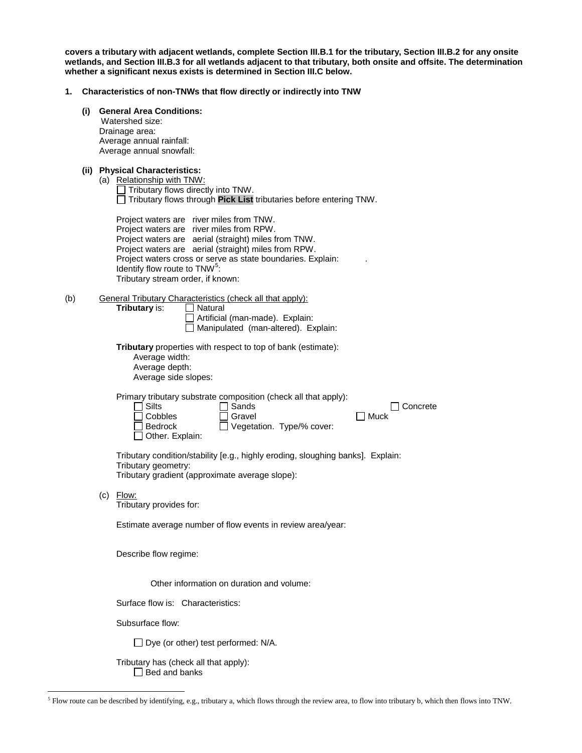**covers a tributary with adjacent wetlands, complete Section III.B.1 for the tributary, Section III.B.2 for any onsite wetlands, and Section III.B.3 for all wetlands adjacent to that tributary, both onsite and offsite. The determination whether a significant nexus exists is determined in Section III.C below.**

#### **1. Characteristics of non-TNWs that flow directly or indirectly into TNW**

|  |  |  | (i) General Area Conditions: |
|--|--|--|------------------------------|
|--|--|--|------------------------------|

 Watershed size: Drainage area: Average annual rainfall: Average annual snowfall:

|  |  | (ii) Physical Characteristics: |
|--|--|--------------------------------|
|--|--|--------------------------------|

| (a) Relationship with TNW:<br>$\Box$ Tributary flows directly into TNW.          |
|----------------------------------------------------------------------------------|
| $\Box$ Tributary flows through <b>Pick List</b> tributaries before entering TNW. |
| Project waters are river miles from TNW.                                         |

|                                           | Project waters are river miles from RPW.                    |  |
|-------------------------------------------|-------------------------------------------------------------|--|
|                                           | Project waters are aerial (straight) miles from TNW.        |  |
|                                           | Project waters are aerial (straight) miles from RPW.        |  |
|                                           | Project waters cross or serve as state boundaries. Explain: |  |
| Identify flow route to TNW <sup>5</sup> : |                                                             |  |
| Tributary stream order, if known:         |                                                             |  |
|                                           |                                                             |  |

(b) General Tributary Characteristics (check all that apply):

**Tributary** is: □ Natural

Artificial (man-made). Explain: □ Manipulated (man-altered). Explain:

**Tributary** properties with respect to top of bank (estimate): Average width: Average depth: Average side slopes:

Primary tributary substrate composition (check all that apply):

| $\Box$ Silts           | $\Box$ Sands                     | □ Concrete |
|------------------------|----------------------------------|------------|
| $\Box$ Cobbles         | $\Box$ Gravel                    | l Muck     |
| $\Box$ Bedrock         | $\Box$ Vegetation. Type/% cover: |            |
| $\Box$ Other. Explain: |                                  |            |

Tributary condition/stability [e.g., highly eroding, sloughing banks]. Explain: Tributary geometry: Tributary gradient (approximate average slope):

(c) Flow:

Tributary provides for:

Estimate average number of flow events in review area/year:

Describe flow regime:

Other information on duration and volume:

Surface flow is: Characteristics:

Subsurface flow:

 $\Box$  Dye (or other) test performed: N/A.

Tributary has (check all that apply):  $\Box$  Bed and banks

<span id="page-2-0"></span> <sup>5</sup> Flow route can be described by identifying, e.g., tributary a, which flows through the review area, to flow into tributary b, which then flows into TNW.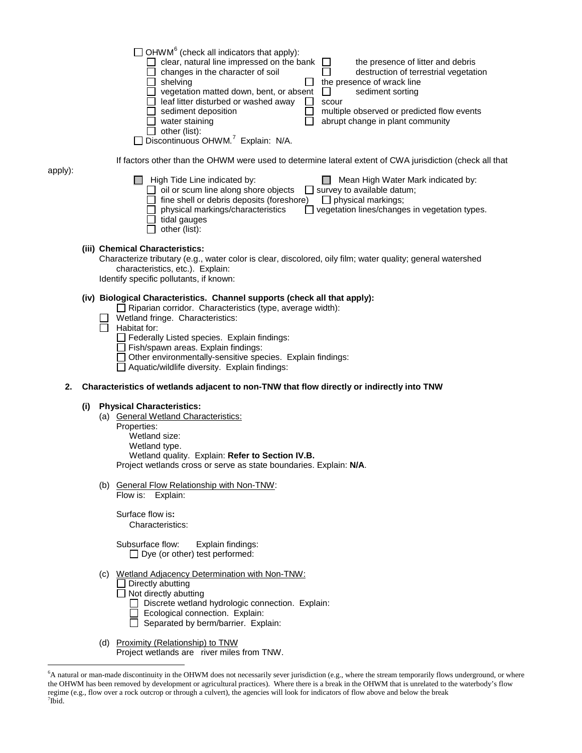|     |                                                                                                                                                                                                                                                            |  | $\exists$ OHWM <sup>6</sup> (check all indicators that apply):<br>clear, natural line impressed on the bank<br>the presence of litter and debris<br>changes in the character of soil<br>destruction of terrestrial vegetation<br>the presence of wrack line<br>shelving<br>vegetation matted down, bent, or absent<br>sediment sorting<br>$\Box$<br>leaf litter disturbed or washed away<br>scour<br>multiple observed or predicted flow events<br>sediment deposition<br>abrupt change in plant community<br>water staining<br>$\Box$ other (list):<br>Discontinuous OHWM. <sup>7</sup> Explain: N/A. |
|-----|------------------------------------------------------------------------------------------------------------------------------------------------------------------------------------------------------------------------------------------------------------|--|--------------------------------------------------------------------------------------------------------------------------------------------------------------------------------------------------------------------------------------------------------------------------------------------------------------------------------------------------------------------------------------------------------------------------------------------------------------------------------------------------------------------------------------------------------------------------------------------------------|
|     |                                                                                                                                                                                                                                                            |  | If factors other than the OHWM were used to determine lateral extent of CWA jurisdiction (check all that                                                                                                                                                                                                                                                                                                                                                                                                                                                                                               |
| y): |                                                                                                                                                                                                                                                            |  | $\Box$ High Tide Line indicated by:<br>Mean High Water Mark indicated by:<br>oil or scum line along shore objects<br>$\Box$ survey to available datum;<br>fine shell or debris deposits (foreshore)<br>$\Box$ physical markings;<br>physical markings/characteristics<br>vegetation lines/changes in vegetation types.<br>tidal gauges<br>other (list):                                                                                                                                                                                                                                                |
|     |                                                                                                                                                                                                                                                            |  | (iii) Chemical Characteristics:<br>Characterize tributary (e.g., water color is clear, discolored, oily film; water quality; general watershed<br>characteristics, etc.). Explain:<br>Identify specific pollutants, if known:                                                                                                                                                                                                                                                                                                                                                                          |
|     |                                                                                                                                                                                                                                                            |  | (iv) Biological Characteristics. Channel supports (check all that apply):<br>$\Box$ Riparian corridor. Characteristics (type, average width):<br>Wetland fringe. Characteristics:<br>Habitat for:<br>Federally Listed species. Explain findings:<br>Fish/spawn areas. Explain findings:<br>Other environmentally-sensitive species. Explain findings:<br>Aquatic/wildlife diversity. Explain findings:                                                                                                                                                                                                 |
| 2.  | Characteristics of wetlands adjacent to non-TNW that flow directly or indirectly into TNW                                                                                                                                                                  |  |                                                                                                                                                                                                                                                                                                                                                                                                                                                                                                                                                                                                        |
|     | <b>Physical Characteristics:</b><br>(i)<br>(a) General Wetland Characteristics:<br>Properties:<br>Wetland size:<br>Wetland type.<br>Wetland quality. Explain: Refer to Section IV.B.<br>Project wetlands cross or serve as state boundaries. Explain: N/A. |  |                                                                                                                                                                                                                                                                                                                                                                                                                                                                                                                                                                                                        |
|     |                                                                                                                                                                                                                                                            |  | (b) General Flow Relationship with Non-TNW:<br>Flow is: Explain:                                                                                                                                                                                                                                                                                                                                                                                                                                                                                                                                       |
|     |                                                                                                                                                                                                                                                            |  | Surface flow is:<br>Characteristics:                                                                                                                                                                                                                                                                                                                                                                                                                                                                                                                                                                   |
|     |                                                                                                                                                                                                                                                            |  | Subsurface flow:<br>Explain findings:<br>$\Box$ Dye (or other) test performed:                                                                                                                                                                                                                                                                                                                                                                                                                                                                                                                         |
|     |                                                                                                                                                                                                                                                            |  | (c) Wetland Adjacency Determination with Non-TNW:<br>Directly abutting<br>$\Box$ Not directly abutting<br>□ Discrete wetland hydrologic connection. Explain:<br>Ecological connection. Explain:<br>$\Box$ Separated by berm/barrier. Explain:                                                                                                                                                                                                                                                                                                                                                          |
|     |                                                                                                                                                                                                                                                            |  | (d) Proximity (Relationship) to TNW<br>Project wetlands are river miles from TNW.                                                                                                                                                                                                                                                                                                                                                                                                                                                                                                                      |

apply):

<span id="page-3-1"></span><span id="page-3-0"></span> <sup>6</sup> A natural or man-made discontinuity in the OHWM does not necessarily sever jurisdiction (e.g., where the stream temporarily flows underground, or where the OHWM has been removed by development or agricultural practices). Where there is a break in the OHWM that is unrelated to the waterbody's flow regime (e.g., flow over a rock outcrop or through a culvert), the agencies will look for indicators of flow above and below the break <sup>7</sup>  $7$ Ibid.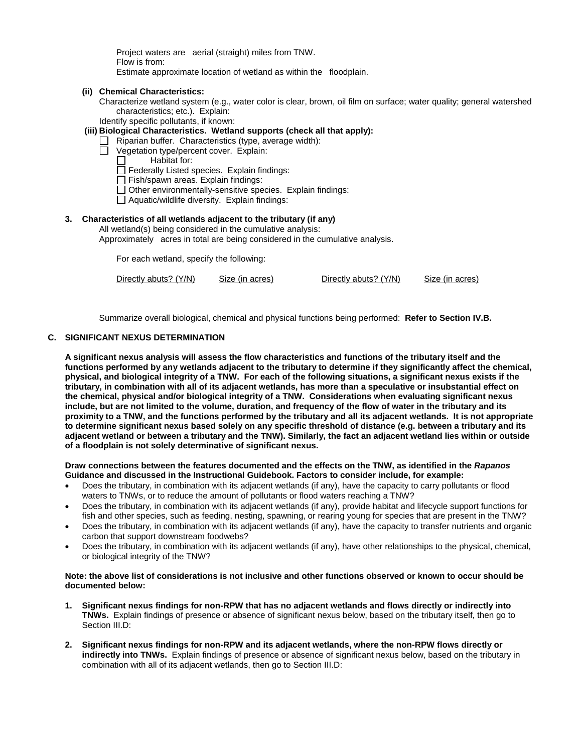Project waters are aerial (straight) miles from TNW. Flow is from: Estimate approximate location of wetland as within the floodplain.

- **(ii) Chemical Characteristics:**
	- Characterize wetland system (e.g., water color is clear, brown, oil film on surface; water quality; general watershed characteristics; etc.). Explain:

Identify specific pollutants, if known:

- **(iii) Biological Characteristics. Wetland supports (check all that apply):**
	- $\Box$  Riparian buffer. Characteristics (type, average width):
	- Vegetation type/percent cover. Explain:
		- Habitat for:
		- Federally Listed species. Explain findings:
		- Fish/spawn areas. Explain findings:
		- Other environmentally-sensitive species. Explain findings:
		- Aquatic/wildlife diversity. Explain findings:

## **3. Characteristics of all wetlands adjacent to the tributary (if any)**

All wetland(s) being considered in the cumulative analysis: Approximately acres in total are being considered in the cumulative analysis.

For each wetland, specify the following:

Directly abuts? (Y/N) Size (in acres) Directly abuts? (Y/N) Size (in acres)

Summarize overall biological, chemical and physical functions being performed: **Refer to Section IV.B.**

#### **C. SIGNIFICANT NEXUS DETERMINATION**

**A significant nexus analysis will assess the flow characteristics and functions of the tributary itself and the functions performed by any wetlands adjacent to the tributary to determine if they significantly affect the chemical, physical, and biological integrity of a TNW. For each of the following situations, a significant nexus exists if the tributary, in combination with all of its adjacent wetlands, has more than a speculative or insubstantial effect on the chemical, physical and/or biological integrity of a TNW. Considerations when evaluating significant nexus include, but are not limited to the volume, duration, and frequency of the flow of water in the tributary and its proximity to a TNW, and the functions performed by the tributary and all its adjacent wetlands. It is not appropriate to determine significant nexus based solely on any specific threshold of distance (e.g. between a tributary and its adjacent wetland or between a tributary and the TNW). Similarly, the fact an adjacent wetland lies within or outside of a floodplain is not solely determinative of significant nexus.** 

**Draw connections between the features documented and the effects on the TNW, as identified in the** *Rapanos* **Guidance and discussed in the Instructional Guidebook. Factors to consider include, for example:**

- Does the tributary, in combination with its adjacent wetlands (if any), have the capacity to carry pollutants or flood waters to TNWs, or to reduce the amount of pollutants or flood waters reaching a TNW?
- Does the tributary, in combination with its adjacent wetlands (if any), provide habitat and lifecycle support functions for fish and other species, such as feeding, nesting, spawning, or rearing young for species that are present in the TNW?
- Does the tributary, in combination with its adjacent wetlands (if any), have the capacity to transfer nutrients and organic carbon that support downstream foodwebs?
- Does the tributary, in combination with its adjacent wetlands (if any), have other relationships to the physical, chemical, or biological integrity of the TNW?

#### **Note: the above list of considerations is not inclusive and other functions observed or known to occur should be documented below:**

- **1. Significant nexus findings for non-RPW that has no adjacent wetlands and flows directly or indirectly into TNWs.** Explain findings of presence or absence of significant nexus below, based on the tributary itself, then go to Section III.D:
- **2. Significant nexus findings for non-RPW and its adjacent wetlands, where the non-RPW flows directly or indirectly into TNWs.** Explain findings of presence or absence of significant nexus below, based on the tributary in combination with all of its adjacent wetlands, then go to Section III.D: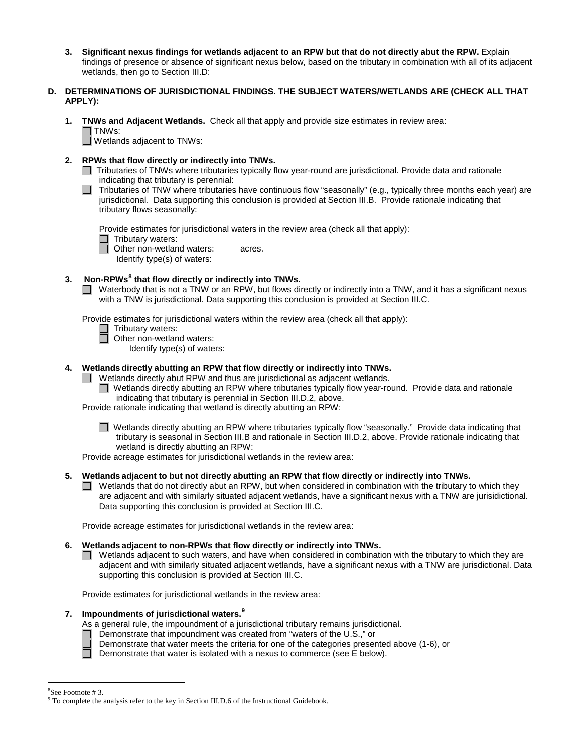**3. Significant nexus findings for wetlands adjacent to an RPW but that do not directly abut the RPW.** Explain findings of presence or absence of significant nexus below, based on the tributary in combination with all of its adjacent wetlands, then go to Section III.D:

### **D. DETERMINATIONS OF JURISDICTIONAL FINDINGS. THE SUBJECT WATERS/WETLANDS ARE (CHECK ALL THAT APPLY):**

**1. TNWs and Adjacent Wetlands.** Check all that apply and provide size estimates in review area: □ TNWs:

Wetlands adjacent to TNWs:

- **2. RPWs that flow directly or indirectly into TNWs.**
	- □ Tributaries of TNWs where tributaries typically flow year-round are jurisdictional. Provide data and rationale indicating that tributary is perennial:
	- $\Box$  Tributaries of TNW where tributaries have continuous flow "seasonally" (e.g., typically three months each year) are jurisdictional. Data supporting this conclusion is provided at Section III.B. Provide rationale indicating that tributary flows seasonally:

Provide estimates for jurisdictional waters in the review area (check all that apply):

 $\Box$  Tributary waters:

□ Other non-wetland waters: acres.

Identify type(s) of waters:

## **3. Non-RPWs[8](#page-5-0) that flow directly or indirectly into TNWs.**

■ Waterbody that is not a TNW or an RPW, but flows directly or indirectly into a TNW, and it has a significant nexus with a TNW is jurisdictional. Data supporting this conclusion is provided at Section III.C.

Provide estimates for jurisdictional waters within the review area (check all that apply):

- □ Tributary waters:
	- Other non-wetland waters:
		- Identify type(s) of waters:

### **4. Wetlands directly abutting an RPW that flow directly or indirectly into TNWs.**

- $\Box$  Wetlands directly abut RPW and thus are jurisdictional as adjacent wetlands.
	- Wetlands directly abutting an RPW where tributaries typically flow year-round. Provide data and rationale indicating that tributary is perennial in Section III.D.2, above.

Provide rationale indicating that wetland is directly abutting an RPW:

Wetlands directly abutting an RPW where tributaries typically flow "seasonally." Provide data indicating that tributary is seasonal in Section III.B and rationale in Section III.D.2, above. Provide rationale indicating that wetland is directly abutting an RPW:

Provide acreage estimates for jurisdictional wetlands in the review area:

- **5. Wetlands adjacent to but not directly abutting an RPW that flow directly or indirectly into TNWs.**
	- $\Box$  Wetlands that do not directly abut an RPW, but when considered in combination with the tributary to which they are adjacent and with similarly situated adjacent wetlands, have a significant nexus with a TNW are jurisidictional. Data supporting this conclusion is provided at Section III.C.

Provide acreage estimates for jurisdictional wetlands in the review area:

# **6. Wetlands adjacent to non-RPWs that flow directly or indirectly into TNWs.**

 $\Box$  Wetlands adjacent to such waters, and have when considered in combination with the tributary to which they are adjacent and with similarly situated adjacent wetlands, have a significant nexus with a TNW are jurisdictional. Data supporting this conclusion is provided at Section III.C.

Provide estimates for jurisdictional wetlands in the review area:

# **7. Impoundments of jurisdictional waters.[9](#page-5-1)**



- $\Box$  Demonstrate that water meets the criteria for one of the categories presented above (1-6), or
- $\Box$  Demonstrate that water is isolated with a nexus to commerce (see E below).

 $\frac{1}{8}$ 

<span id="page-5-1"></span><span id="page-5-0"></span><sup>&</sup>lt;sup>8</sup>See Footnote # 3.<br><sup>9</sup> To complete the analysis refer to the key in Section III.D.6 of the Instructional Guidebook.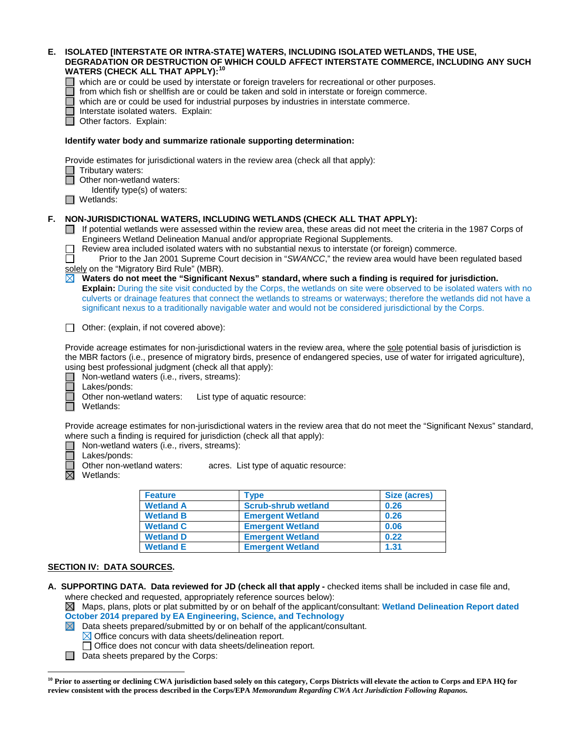| Е. | ISOLATED [INTERSTATE OR INTRA-STATE] WATERS, INCLUDING ISOLATED WETLANDS, THE USE,<br>DEGRADATION OR DESTRUCTION OF WHICH COULD AFFECT INTERSTATE COMMERCE, INCLUDING ANY SUCH<br><b>WATERS (CHECK ALL THAT APPLY): 10</b><br>which are or could be used by interstate or foreign travelers for recreational or other purposes.<br>from which fish or shellfish are or could be taken and sold in interstate or foreign commerce.<br>which are or could be used for industrial purposes by industries in interstate commerce.<br>Interstate isolated waters. Explain:<br>Other factors. Explain:                                                                                                                                                                                                                                                                                                                                                                                                                                    |
|----|-------------------------------------------------------------------------------------------------------------------------------------------------------------------------------------------------------------------------------------------------------------------------------------------------------------------------------------------------------------------------------------------------------------------------------------------------------------------------------------------------------------------------------------------------------------------------------------------------------------------------------------------------------------------------------------------------------------------------------------------------------------------------------------------------------------------------------------------------------------------------------------------------------------------------------------------------------------------------------------------------------------------------------------|
|    | Identify water body and summarize rationale supporting determination:                                                                                                                                                                                                                                                                                                                                                                                                                                                                                                                                                                                                                                                                                                                                                                                                                                                                                                                                                               |
|    | Provide estimates for jurisdictional waters in the review area (check all that apply):<br>Tributary waters:<br>Other non-wetland waters:<br>Identify type(s) of waters:<br>Wetlands:                                                                                                                                                                                                                                                                                                                                                                                                                                                                                                                                                                                                                                                                                                                                                                                                                                                |
| F. | NON-JURISDICTIONAL WATERS, INCLUDING WETLANDS (CHECK ALL THAT APPLY):<br>If potential wetlands were assessed within the review area, these areas did not meet the criteria in the 1987 Corps of<br>Engineers Wetland Delineation Manual and/or appropriate Regional Supplements.<br>Review area included isolated waters with no substantial nexus to interstate (or foreign) commerce.<br>Prior to the Jan 2001 Supreme Court decision in "SWANCC," the review area would have been regulated based<br>solely on the "Migratory Bird Rule" (MBR).<br>Waters do not meet the "Significant Nexus" standard, where such a finding is required for jurisdiction.<br>Explain: During the site visit conducted by the Corps, the wetlands on site were observed to be isolated waters with no<br>culverts or drainage features that connect the wetlands to streams or waterways; therefore the wetlands did not have a<br>significant nexus to a traditionally navigable water and would not be considered jurisdictional by the Corps. |
|    | Other: (explain, if not covered above):<br>$\mathbf{I}$                                                                                                                                                                                                                                                                                                                                                                                                                                                                                                                                                                                                                                                                                                                                                                                                                                                                                                                                                                             |
|    | Provide acreage estimates for non-jurisdictional waters in the review area, where the sole potential basis of jurisdiction is<br>the MBR factors (i.e., presence of migratory birds, presence of endangered species, use of water for irrigated agriculture),<br>using best professional judgment (check all that apply):<br>Non-wetland waters (i.e., rivers, streams):<br>Lakes/ponds:<br>Other non-wetland waters:<br>List type of aquatic resource:<br>Wetlands:                                                                                                                                                                                                                                                                                                                                                                                                                                                                                                                                                                |
|    | Provide acreage estimates for non-jurisdictional waters in the review area that do not meet the "Significant Nexus" standard,<br>where such a finding is required for jurisdiction (check all that apply):<br>Non-wetland waters (i.e., rivers, streams):<br>Lakes/ponds:<br>acres. List type of aquatic resource:<br>Other non-wetland waters:                                                                                                                                                                                                                                                                                                                                                                                                                                                                                                                                                                                                                                                                                     |

 $\boxtimes$ Wetlands:

 $\overline{a}$ 

| <b>Feature</b>   | Type                       | Size (acres) |
|------------------|----------------------------|--------------|
| <b>Wetland A</b> | <b>Scrub-shrub wetland</b> | 0.26         |
| <b>Wetland B</b> | <b>Emergent Wetland</b>    | 0.26         |
| <b>Wetland C</b> | <b>Emergent Wetland</b>    | 0.06         |
| <b>Wetland D</b> | <b>Emergent Wetland</b>    | 0.22         |

#### **SECTION IV: DATA SOURCES.**

**A. SUPPORTING DATA. Data reviewed for JD (check all that apply -** checked items shall be included in case file and, where checked and requested, appropriately reference sources below):

**Wetland E Emergent Wetland 1.31**

Maps, plans, plots or plat submitted by or on behalf of the applicant/consultant: **Wetland Delineation Report dated October 2014 prepared by EA Engineering, Science, and Technology**<br> **X** Data sheets prepared/submitted by or on behalf of the applicant/consi

- Data sheets prepared/submitted by or on behalf of the applicant/consultant.
- $\boxtimes$  Office concurs with data sheets/delineation report.
- Office does not concur with data sheets/delineation report.
- $\Box$  Data sheets prepared by the Corps:

<span id="page-6-0"></span><sup>&</sup>lt;sup>10</sup> Prior to asserting or declining CWA jurisdiction based solely on this category, Corps Districts will elevate the action to Corps and EPA HQ for **review consistent with the process described in the Corps/EPA** *Memorandum Regarding CWA Act Jurisdiction Following Rapanos.*